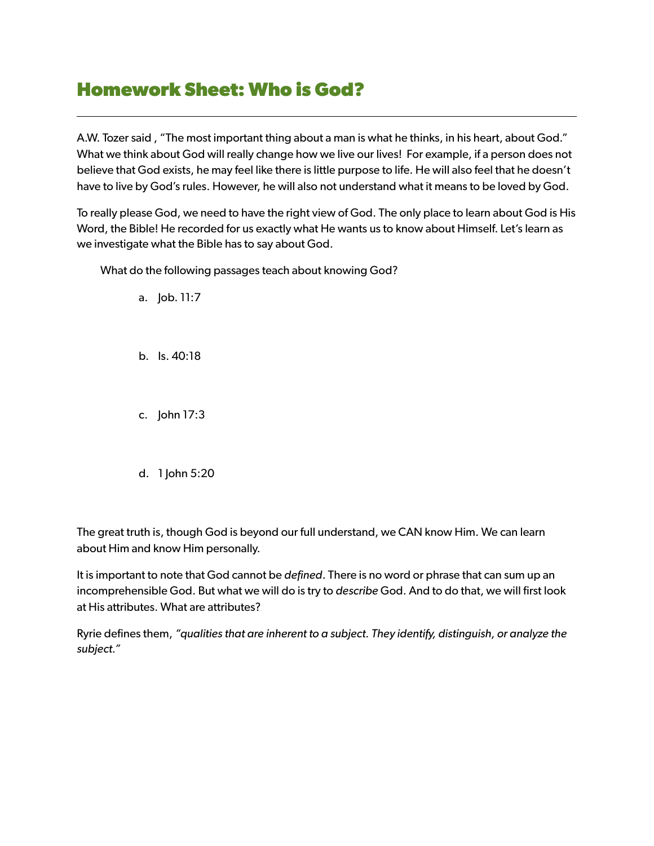## **Homework Sheet: Who is God?**

A.W. Tozer said , "The most important thing about a man is what he thinks, in his heart, about God." What we think about God will really change how we live our lives! For example, if a person does not believe that God exists, he may feel like there is little purpose to life. He will also feel that he doesn't have to live by God's rules. However, he will also not understand what it means to be loved by God.

To really please God, we need to have the right view of God. The only place to learn about God is His Word, the Bible! He recorded for us exactly what He wants us to know about Himself. Let's learn as we investigate what the Bible has to say about God.

What do the following passages teach about knowing God?

a. Job. 11:7

b. Is. 40:18

c. John 17:3

d. 1 John 5:20

The great truth is, though God is beyond our full understand, we CAN know Him. We can learn about Him and know Him personally.

It is important to note that God cannot be *defined*. There is no word or phrase that can sum up an incomprehensible God. But what we will do is try to *describe* God. And to do that, we will first look at His attributes. What are attributes?

Ryrie defines them, *"qualities that are inherent to a subject. They identify, distinguish, or analyze the subject."*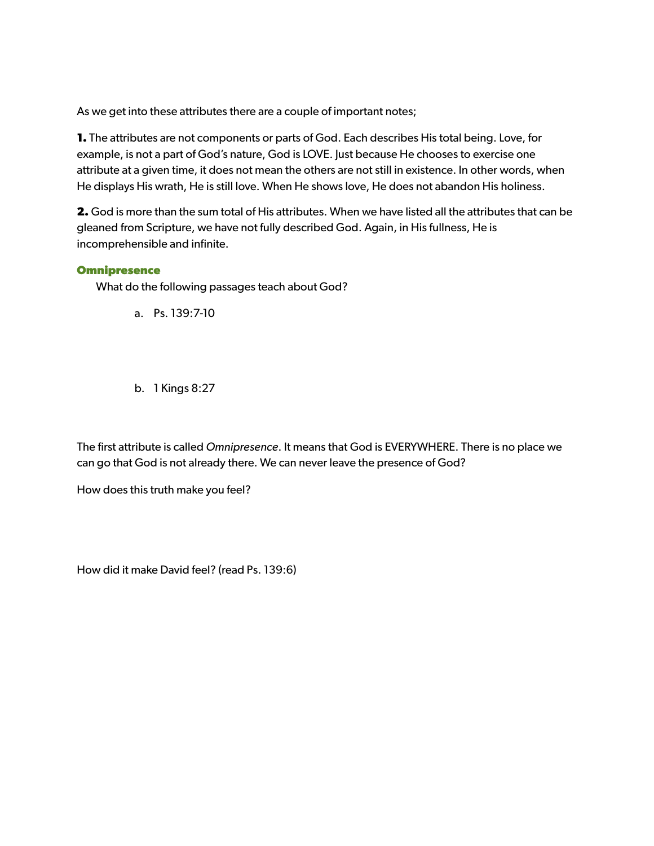As we get into these attributes there are a couple of important notes;

**1.** The attributes are not components or parts of God. Each describes His total being. Love, for example, is not a part of God's nature, God is LOVE. Just because He chooses to exercise one attribute at a given time, it does not mean the others are not still in existence. In other words, when He displays His wrath, He is still love. When He shows love, He does not abandon His holiness.

**2.** God is more than the sum total of His attributes. When we have listed all the attributes that can be gleaned from Scripture, we have not fully described God. Again, in His fullness, He is incomprehensible and infinite.

## **Omnipresence**

What do the following passages teach about God?

a. Ps. 139:7-10

b. 1 Kings 8:27

The first attribute is called *Omnipresence*. It means that God is EVERYWHERE. There is no place we can go that God is not already there. We can never leave the presence of God?

How does this truth make you feel?

How did it make David feel? (read Ps. 139:6)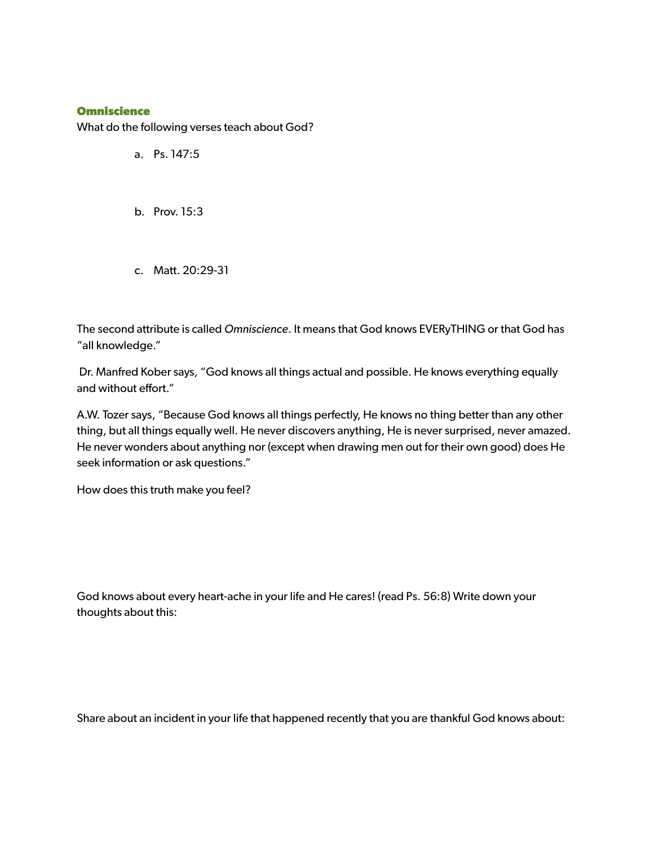## **Omniscience**

What do the following verses teach about God?

- a. Ps. 147:5
- b. Prov. 15:3
- c. Matt. 20:29-31

The second attribute is called *Omniscience*. It means that God knows EVERyTHING or that God has "all knowledge."

 Dr. Manfred Kober says, "God knows all things actual and possible. He knows everything equally and without effort."

A.W. Tozer says, "Because God knows all things perfectly, He knows no thing better than any other thing, but all things equally well. He never discovers anything, He is never surprised, never amazed. He never wonders about anything nor (except when drawing men out for their own good) does He seek information or ask questions."

How does this truth make you feel?

God knows about every heart-ache in your life and He cares! (read Ps. 56:8) Write down your thoughts about this:

Share about an incident in your life that happened recently that you are thankful God knows about: